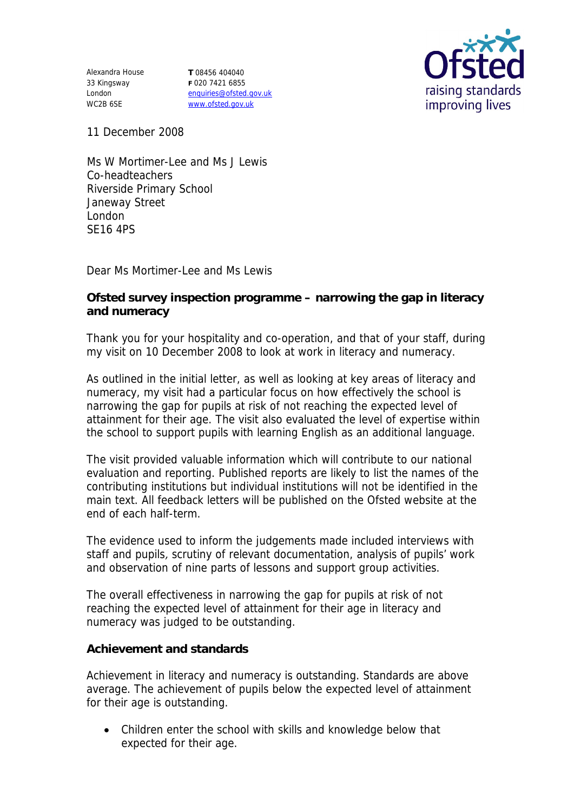Alexandra House 33 Kingsway London WC2B 6SE

**T** 08456 404040 **F** 020 7421 6855 enquiries@ofsted.gov.uk www.ofsted.gov.uk



11 December 2008

Ms W Mortimer-Lee and Ms J Lewis Co-headteachers Riverside Primary School Janeway Street London SE16 4PS

Dear Ms Mortimer-Lee and Ms Lewis

**Ofsted survey inspection programme – narrowing the gap in literacy and numeracy**

Thank you for your hospitality and co-operation, and that of your staff, during my visit on 10 December 2008 to look at work in literacy and numeracy.

As outlined in the initial letter, as well as looking at key areas of literacy and numeracy, my visit had a particular focus on how effectively the school is narrowing the gap for pupils at risk of not reaching the expected level of attainment for their age. The visit also evaluated the level of expertise within the school to support pupils with learning English as an additional language.

The visit provided valuable information which will contribute to our national evaluation and reporting. Published reports are likely to list the names of the contributing institutions but individual institutions will not be identified in the main text. All feedback letters will be published on the Ofsted website at the end of each half-term.

The evidence used to inform the judgements made included interviews with staff and pupils, scrutiny of relevant documentation, analysis of pupils' work and observation of nine parts of lessons and support group activities.

The overall effectiveness in narrowing the gap for pupils at risk of not reaching the expected level of attainment for their age in literacy and numeracy was judged to be outstanding.

**Achievement and standards**

Achievement in literacy and numeracy is outstanding. Standards are above average. The achievement of pupils below the expected level of attainment for their age is outstanding.

 Children enter the school with skills and knowledge below that expected for their age.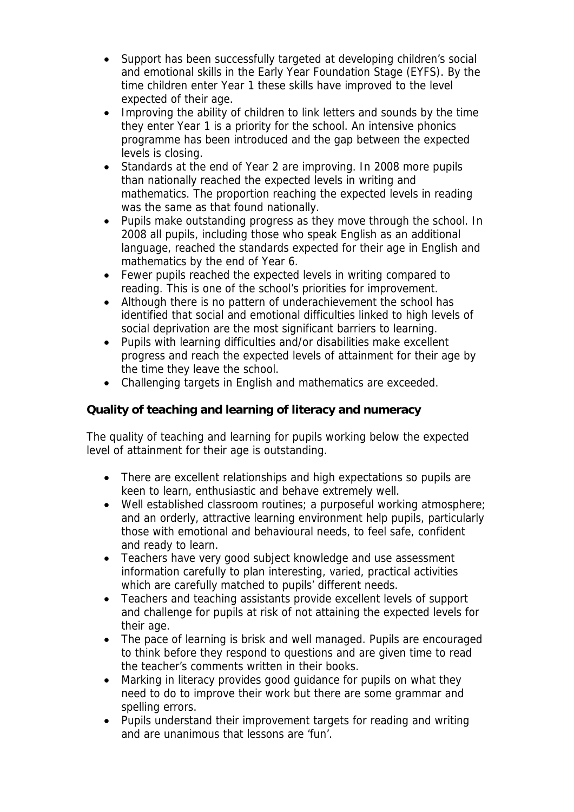- Support has been successfully targeted at developing children's social and emotional skills in the Early Year Foundation Stage (EYFS). By the time children enter Year 1 these skills have improved to the level expected of their age.
- Improving the ability of children to link letters and sounds by the time they enter Year 1 is a priority for the school. An intensive phonics programme has been introduced and the gap between the expected levels is closing.
- Standards at the end of Year 2 are improving. In 2008 more pupils than nationally reached the expected levels in writing and mathematics. The proportion reaching the expected levels in reading was the same as that found nationally.
- Pupils make outstanding progress as they move through the school. In 2008 all pupils, including those who speak English as an additional language, reached the standards expected for their age in English and mathematics by the end of Year 6.
- Fewer pupils reached the expected levels in writing compared to reading. This is one of the school's priorities for improvement.
- Although there is no pattern of underachievement the school has identified that social and emotional difficulties linked to high levels of social deprivation are the most significant barriers to learning.
- Pupils with learning difficulties and/or disabilities make excellent progress and reach the expected levels of attainment for their age by the time they leave the school.
- Challenging targets in English and mathematics are exceeded.

**Quality of teaching and learning of literacy and numeracy**

The quality of teaching and learning for pupils working below the expected level of attainment for their age is outstanding.

- There are excellent relationships and high expectations so pupils are keen to learn, enthusiastic and behave extremely well.
- Well established classroom routines; a purposeful working atmosphere; and an orderly, attractive learning environment help pupils, particularly those with emotional and behavioural needs, to feel safe, confident and ready to learn.
- Teachers have very good subject knowledge and use assessment information carefully to plan interesting, varied, practical activities which are carefully matched to pupils' different needs.
- Teachers and teaching assistants provide excellent levels of support and challenge for pupils at risk of not attaining the expected levels for their age.
- The pace of learning is brisk and well managed. Pupils are encouraged to think before they respond to questions and are given time to read the teacher's comments written in their books.
- Marking in literacy provides good quidance for pupils on what they need to do to improve their work but there are some grammar and spelling errors.
- Pupils understand their improvement targets for reading and writing and are unanimous that lessons are 'fun'.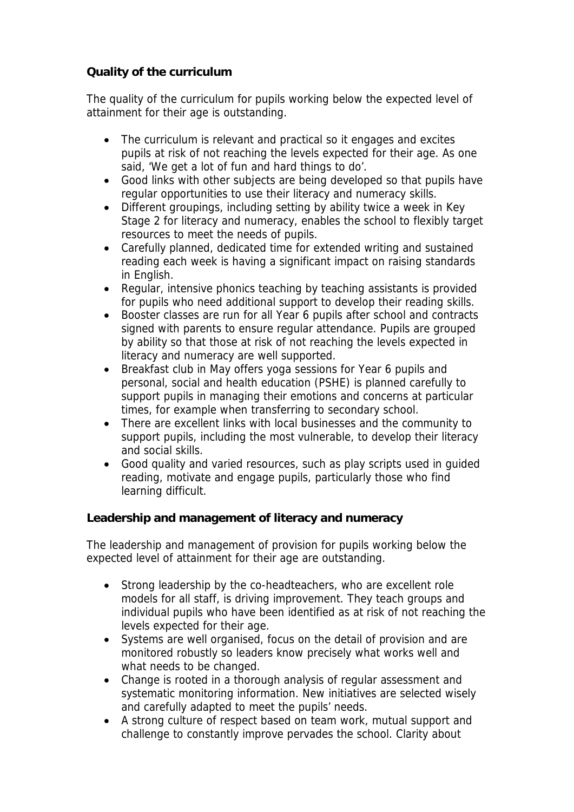## **Quality of the curriculum**

The quality of the curriculum for pupils working below the expected level of attainment for their age is outstanding.

- The curriculum is relevant and practical so it engages and excites pupils at risk of not reaching the levels expected for their age. As one said, 'We get a lot of fun and hard things to do'.
- Good links with other subjects are being developed so that pupils have regular opportunities to use their literacy and numeracy skills.
- Different groupings, including setting by ability twice a week in Key Stage 2 for literacy and numeracy, enables the school to flexibly target resources to meet the needs of pupils.
- Carefully planned, dedicated time for extended writing and sustained reading each week is having a significant impact on raising standards in English.
- Regular, intensive phonics teaching by teaching assistants is provided for pupils who need additional support to develop their reading skills.
- Booster classes are run for all Year 6 pupils after school and contracts signed with parents to ensure regular attendance. Pupils are grouped by ability so that those at risk of not reaching the levels expected in literacy and numeracy are well supported.
- Breakfast club in May offers yoga sessions for Year 6 pupils and personal, social and health education (PSHE) is planned carefully to support pupils in managing their emotions and concerns at particular times, for example when transferring to secondary school.
- There are excellent links with local businesses and the community to support pupils, including the most vulnerable, to develop their literacy and social skills.
- Good quality and varied resources, such as play scripts used in guided reading, motivate and engage pupils, particularly those who find learning difficult.

**Leadership and management of literacy and numeracy**

The leadership and management of provision for pupils working below the expected level of attainment for their age are outstanding.

- Strong leadership by the co-headteachers, who are excellent role models for all staff, is driving improvement. They teach groups and individual pupils who have been identified as at risk of not reaching the levels expected for their age.
- Systems are well organised, focus on the detail of provision and are monitored robustly so leaders know precisely what works well and what needs to be changed.
- Change is rooted in a thorough analysis of regular assessment and systematic monitoring information. New initiatives are selected wisely and carefully adapted to meet the pupils' needs.
- A strong culture of respect based on team work, mutual support and challenge to constantly improve pervades the school. Clarity about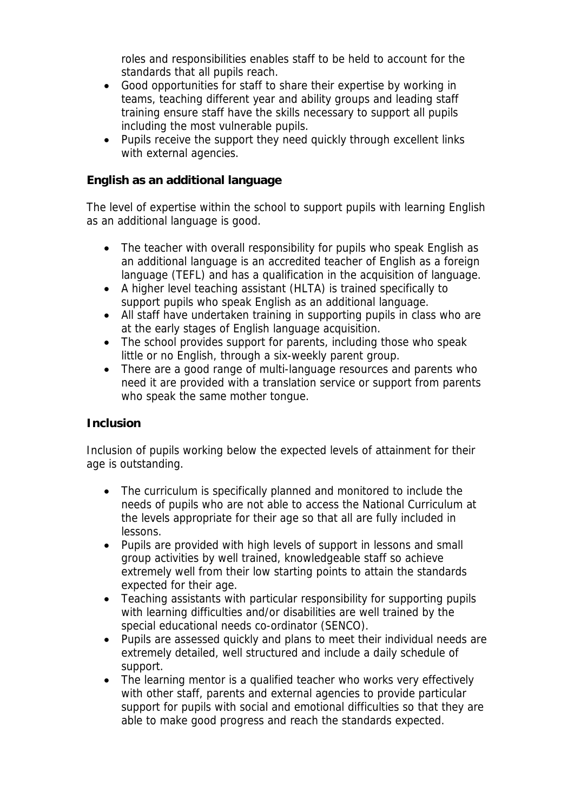roles and responsibilities enables staff to be held to account for the standards that all pupils reach.

- Good opportunities for staff to share their expertise by working in teams, teaching different year and ability groups and leading staff training ensure staff have the skills necessary to support all pupils including the most vulnerable pupils.
- Pupils receive the support they need quickly through excellent links with external agencies.

**English as an additional language** 

The level of expertise within the school to support pupils with learning English as an additional language is good.

- The teacher with overall responsibility for pupils who speak English as an additional language is an accredited teacher of English as a foreign language (TEFL) and has a qualification in the acquisition of language.
- A higher level teaching assistant (HLTA) is trained specifically to support pupils who speak English as an additional language.
- All staff have undertaken training in supporting pupils in class who are at the early stages of English language acquisition.
- The school provides support for parents, including those who speak little or no English, through a six-weekly parent group.
- There are a good range of multi-language resources and parents who need it are provided with a translation service or support from parents who speak the same mother tongue.

## **Inclusion**

Inclusion of pupils working below the expected levels of attainment for their age is outstanding.

- The curriculum is specifically planned and monitored to include the needs of pupils who are not able to access the National Curriculum at the levels appropriate for their age so that all are fully included in lessons.
- Pupils are provided with high levels of support in lessons and small group activities by well trained, knowledgeable staff so achieve extremely well from their low starting points to attain the standards expected for their age.
- Teaching assistants with particular responsibility for supporting pupils with learning difficulties and/or disabilities are well trained by the special educational needs co-ordinator (SENCO).
- Pupils are assessed quickly and plans to meet their individual needs are extremely detailed, well structured and include a daily schedule of support.
- The learning mentor is a qualified teacher who works very effectively with other staff, parents and external agencies to provide particular support for pupils with social and emotional difficulties so that they are able to make good progress and reach the standards expected.